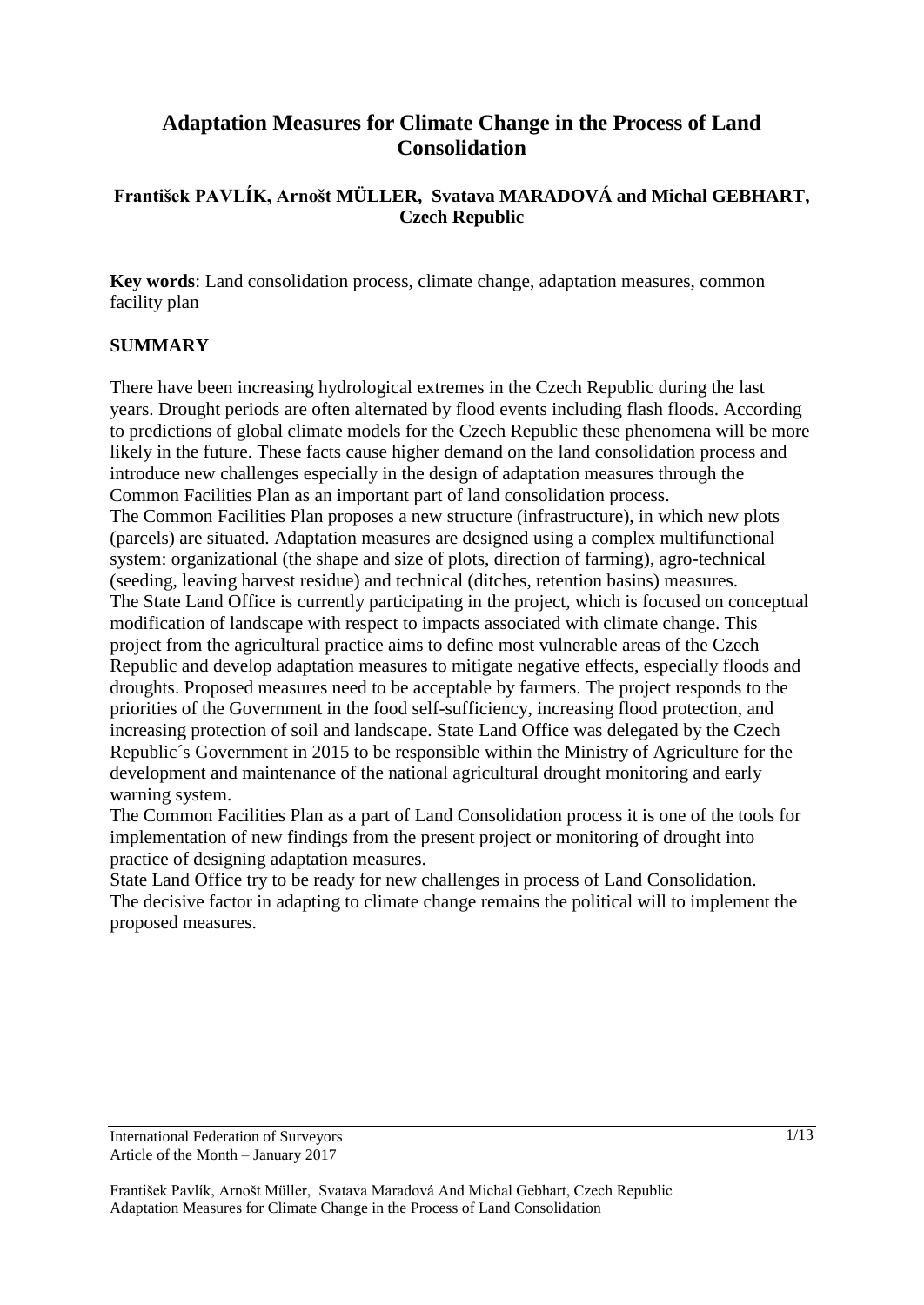# **Adaptation Measures for Climate Change in the Process of Land Consolidation**

# **František PAVLÍK, Arnošt MÜLLER, Svatava MARADOVÁ and Michal GEBHART, Czech Republic**

**Key words**: Land consolidation process, climate change, adaptation measures, common facility plan

## **SUMMARY**

There have been increasing hydrological extremes in the Czech Republic during the last years. Drought periods are often alternated by flood events including flash floods. According to predictions of global climate models for the Czech Republic these phenomena will be more likely in the future. These facts cause higher demand on the land consolidation process and introduce new challenges especially in the design of adaptation measures through the Common Facilities Plan as an important part of land consolidation process.

The Common Facilities Plan proposes a new structure (infrastructure), in which new plots (parcels) are situated. Adaptation measures are designed using a complex multifunctional system: organizational (the shape and size of plots, direction of farming), agro-technical (seeding, leaving harvest residue) and technical (ditches, retention basins) measures. The State Land Office is currently participating in the project, which is focused on conceptual modification of landscape with respect to impacts associated with climate change. This project from the agricultural practice aims to define most vulnerable areas of the Czech Republic and develop adaptation measures to mitigate negative effects, especially floods and droughts. Proposed measures need to be acceptable by farmers. The project responds to the priorities of the Government in the food self-sufficiency, increasing flood protection, and increasing protection of soil and landscape. State Land Office was delegated by the Czech Republic´s Government in 2015 to be responsible within the Ministry of Agriculture for the development and maintenance of the national agricultural drought monitoring and early warning system.

The Common Facilities Plan as a part of Land Consolidation process it is one of the tools for implementation of new findings from the present project or monitoring of drought into practice of designing adaptation measures.

State Land Office try to be ready for new challenges in process of Land Consolidation. The decisive factor in adapting to climate change remains the political will to implement the proposed measures.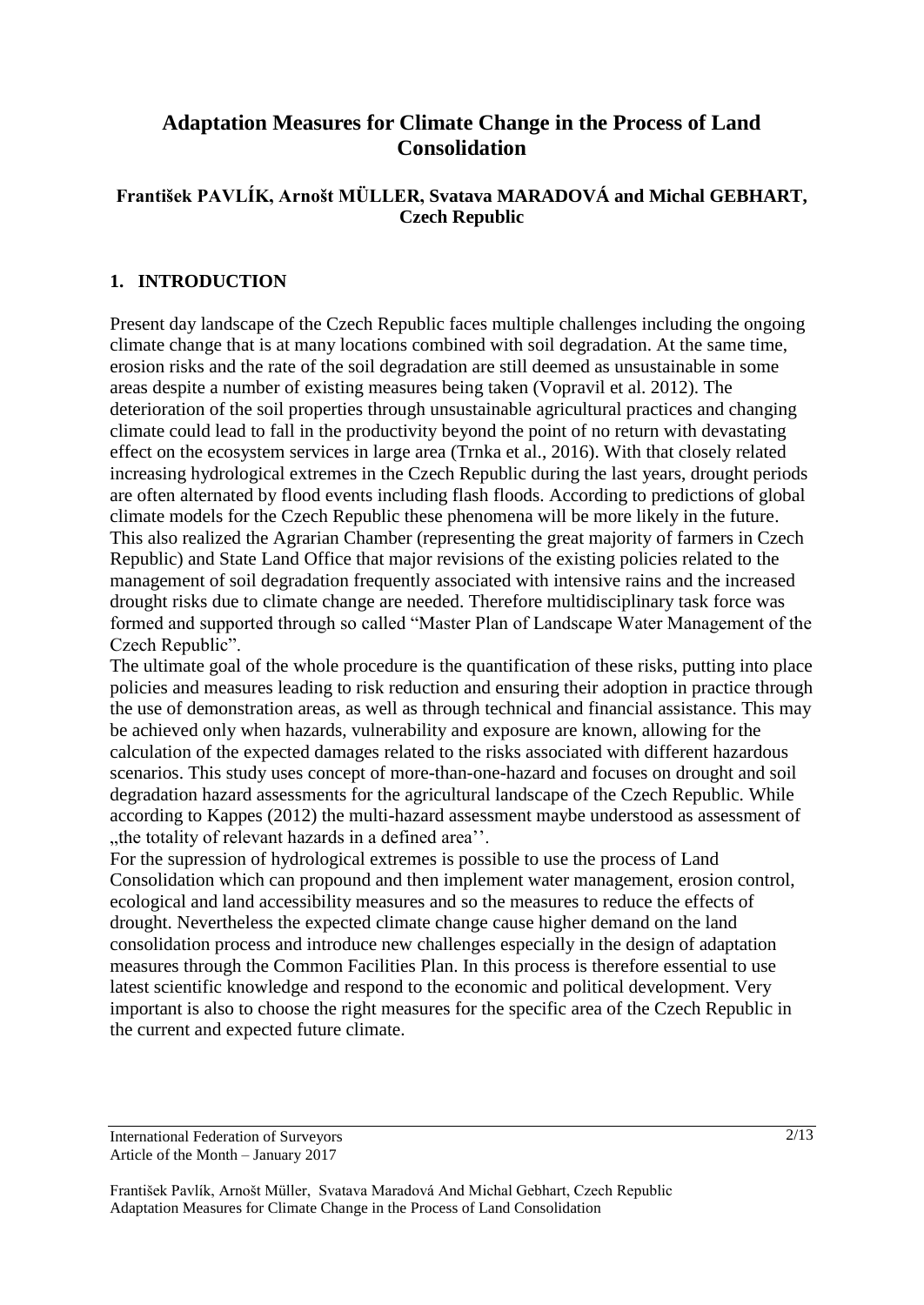# **Adaptation Measures for Climate Change in the Process of Land Consolidation**

# **František PAVLÍK, Arnošt MÜLLER, Svatava MARADOVÁ and Michal GEBHART, Czech Republic**

# **1. INTRODUCTION**

Present day landscape of the Czech Republic faces multiple challenges including the ongoing climate change that is at many locations combined with soil degradation. At the same time, erosion risks and the rate of the soil degradation are still deemed as unsustainable in some areas despite a number of existing measures being taken (Vopravil et al. 2012). The deterioration of the soil properties through unsustainable agricultural practices and changing climate could lead to fall in the productivity beyond the point of no return with devastating effect on the ecosystem services in large area (Trnka et al., 2016). With that closely related increasing hydrological extremes in the Czech Republic during the last years, drought periods are often alternated by flood events including flash floods. According to predictions of global climate models for the Czech Republic these phenomena will be more likely in the future. This also realized the Agrarian Chamber (representing the great majority of farmers in Czech Republic) and State Land Office that major revisions of the existing policies related to the management of soil degradation frequently associated with intensive rains and the increased drought risks due to climate change are needed. Therefore multidisciplinary task force was formed and supported through so called "Master Plan of Landscape Water Management of the Czech Republic".

The ultimate goal of the whole procedure is the quantification of these risks, putting into place policies and measures leading to risk reduction and ensuring their adoption in practice through the use of demonstration areas, as well as through technical and financial assistance. This may be achieved only when hazards, vulnerability and exposure are known, allowing for the calculation of the expected damages related to the risks associated with different hazardous scenarios. This study uses concept of more-than-one-hazard and focuses on drought and soil degradation hazard assessments for the agricultural landscape of the Czech Republic. While according to Kappes (2012) the multi-hazard assessment maybe understood as assessment of "the totality of relevant hazards in a defined area".

For the supression of hydrological extremes is possible to use the process of Land Consolidation which can propound and then implement water management, erosion control, ecological and land accessibility measures and so the measures to reduce the effects of drought. Nevertheless the expected climate change cause higher demand on the land consolidation process and introduce new challenges especially in the design of adaptation measures through the Common Facilities Plan. In this process is therefore essential to use latest scientific knowledge and respond to the economic and political development. Very important is also to choose the right measures for the specific area of the Czech Republic in the current and expected future climate.

International Federation of Surveyors Article of the Month – January 2017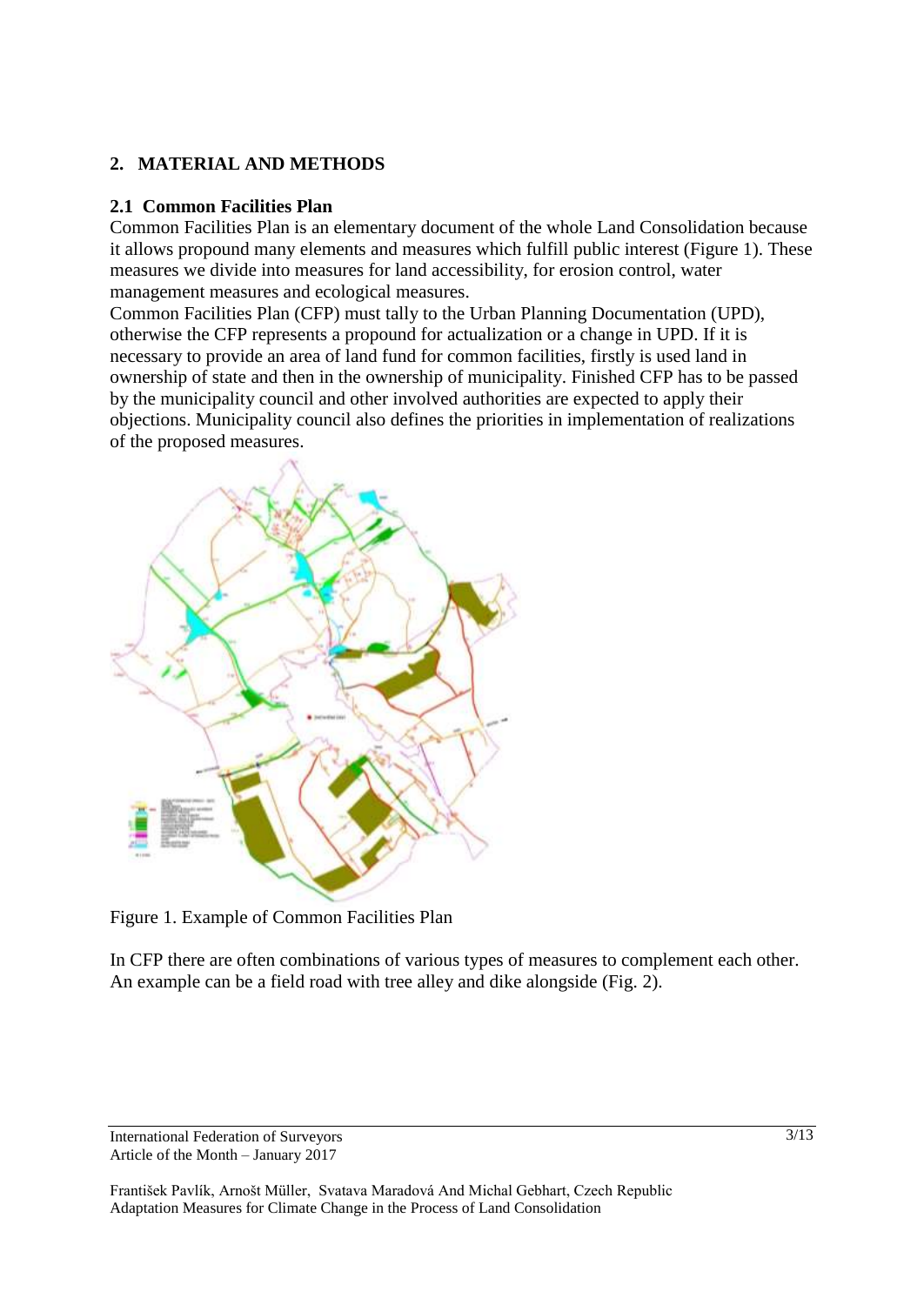# **2. MATERIAL AND METHODS**

#### **2.1 Common Facilities Plan**

Common Facilities Plan is an elementary document of the whole Land Consolidation because it allows propound many elements and measures which fulfill public interest (Figure 1). These measures we divide into measures for land accessibility, for erosion control, water management measures and ecological measures.

Common Facilities Plan (CFP) must tally to the Urban Planning Documentation (UPD), otherwise the CFP represents a propound for actualization or a change in UPD. If it is necessary to provide an area of land fund for common facilities, firstly is used land in ownership of state and then in the ownership of municipality. Finished CFP has to be passed by the municipality council and other involved authorities are expected to apply their objections. Municipality council also defines the priorities in implementation of realizations of the proposed measures.



Figure 1. Example of Common Facilities Plan

In CFP there are often combinations of various types of measures to complement each other. An example can be a field road with tree alley and dike alongside (Fig. 2).

International Federation of Surveyors Article of the Month – January 2017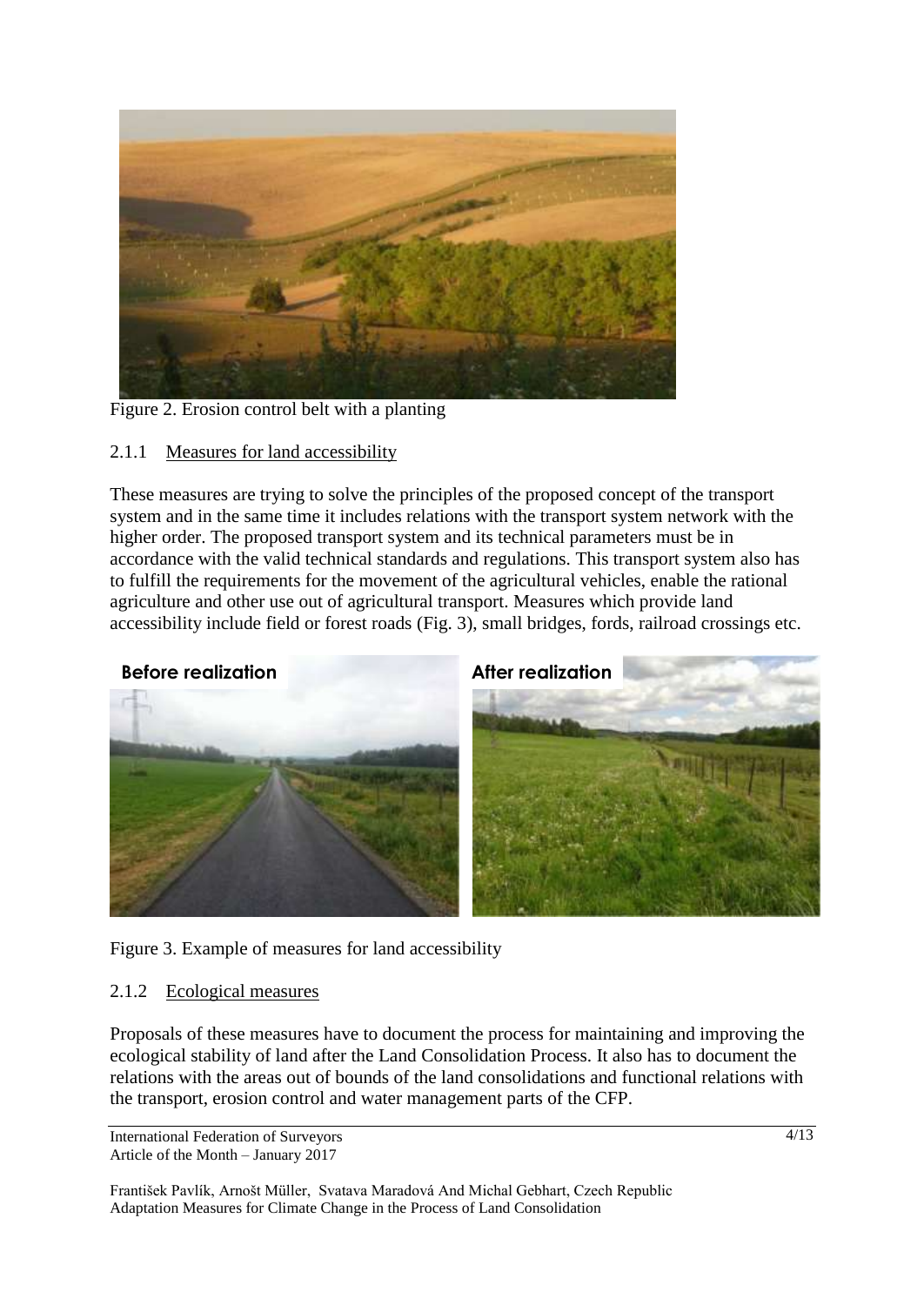

Figure 2. Erosion control belt with a planting

#### 2.1.1 Measures for land accessibility

These measures are trying to solve the principles of the proposed concept of the transport system and in the same time it includes relations with the transport system network with the higher order. The proposed transport system and its technical parameters must be in accordance with the valid technical standards and regulations. This transport system also has to fulfill the requirements for the movement of the agricultural vehicles, enable the rational agriculture and other use out of agricultural transport. Measures which provide land accessibility include field or forest roads (Fig. 3), small bridges, fords, railroad crossings etc.



Figure 3. Example of measures for land accessibility

## 2.1.2 Ecological measures

Proposals of these measures have to document the process for maintaining and improving the ecological stability of land after the Land Consolidation Process. It also has to document the relations with the areas out of bounds of the land consolidations and functional relations with the transport, erosion control and water management parts of the CFP.

```
International Federation of Surveyors
Article of the Month – January 2017
```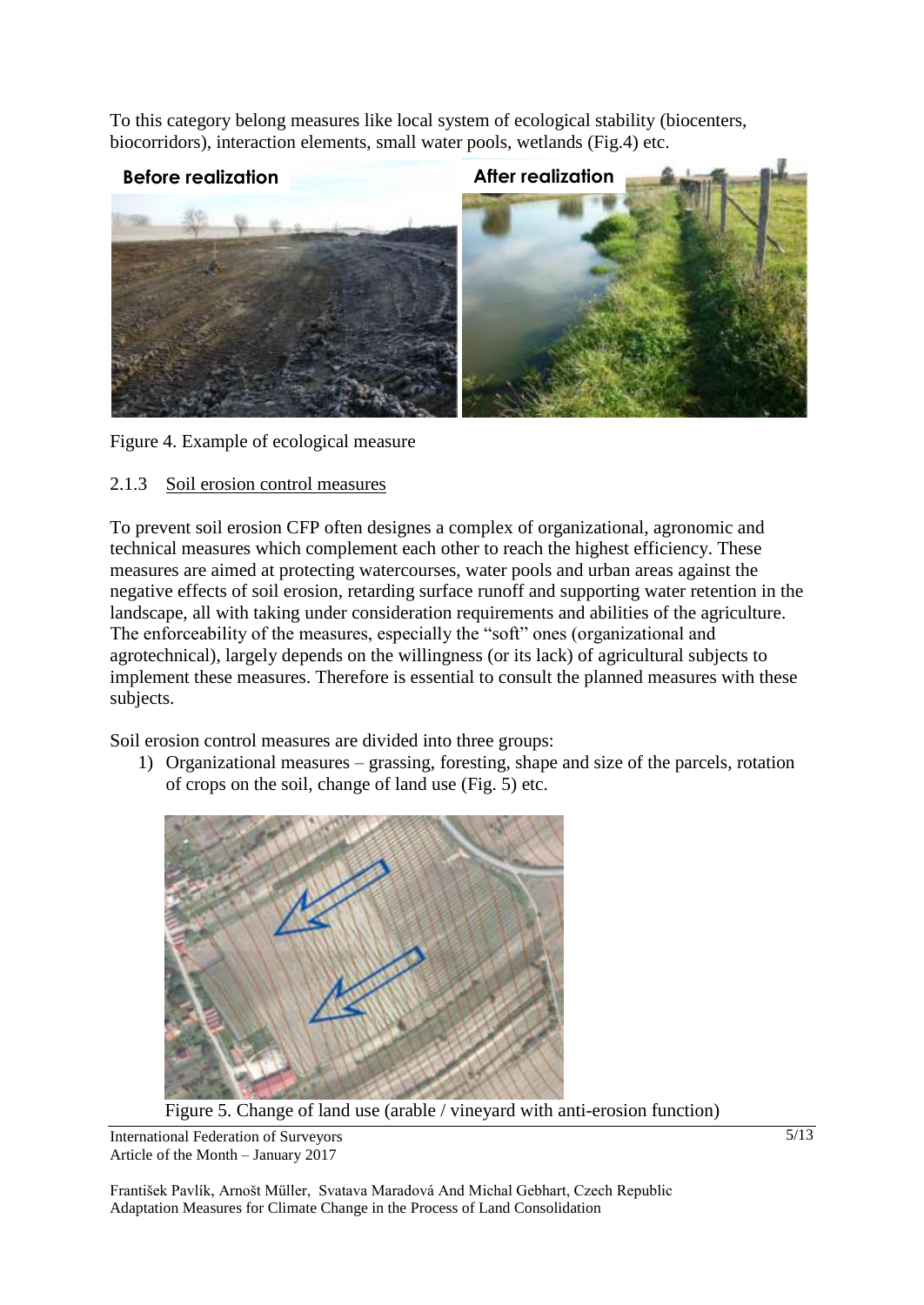To this category belong measures like local system of ecological stability (biocenters, biocorridors), interaction elements, small water pools, wetlands (Fig.4) etc.



Figure 4. Example of ecological measure

## 2.1.3 Soil erosion control measures

To prevent soil erosion CFP often designes a complex of organizational, agronomic and technical measures which complement each other to reach the highest efficiency. These measures are aimed at protecting watercourses, water pools and urban areas against the negative effects of soil erosion, retarding surface runoff and supporting water retention in the landscape, all with taking under consideration requirements and abilities of the agriculture. The enforceability of the measures, especially the "soft" ones (organizational and agrotechnical), largely depends on the willingness (or its lack) of agricultural subjects to implement these measures. Therefore is essential to consult the planned measures with these subjects.

Soil erosion control measures are divided into three groups:

1) Organizational measures – grassing, foresting, shape and size of the parcels, rotation of crops on the soil, change of land use (Fig. 5) etc.



Figure 5. Change of land use (arable / vineyard with anti-erosion function)

International Federation of Surveyors Article of the Month – January 2017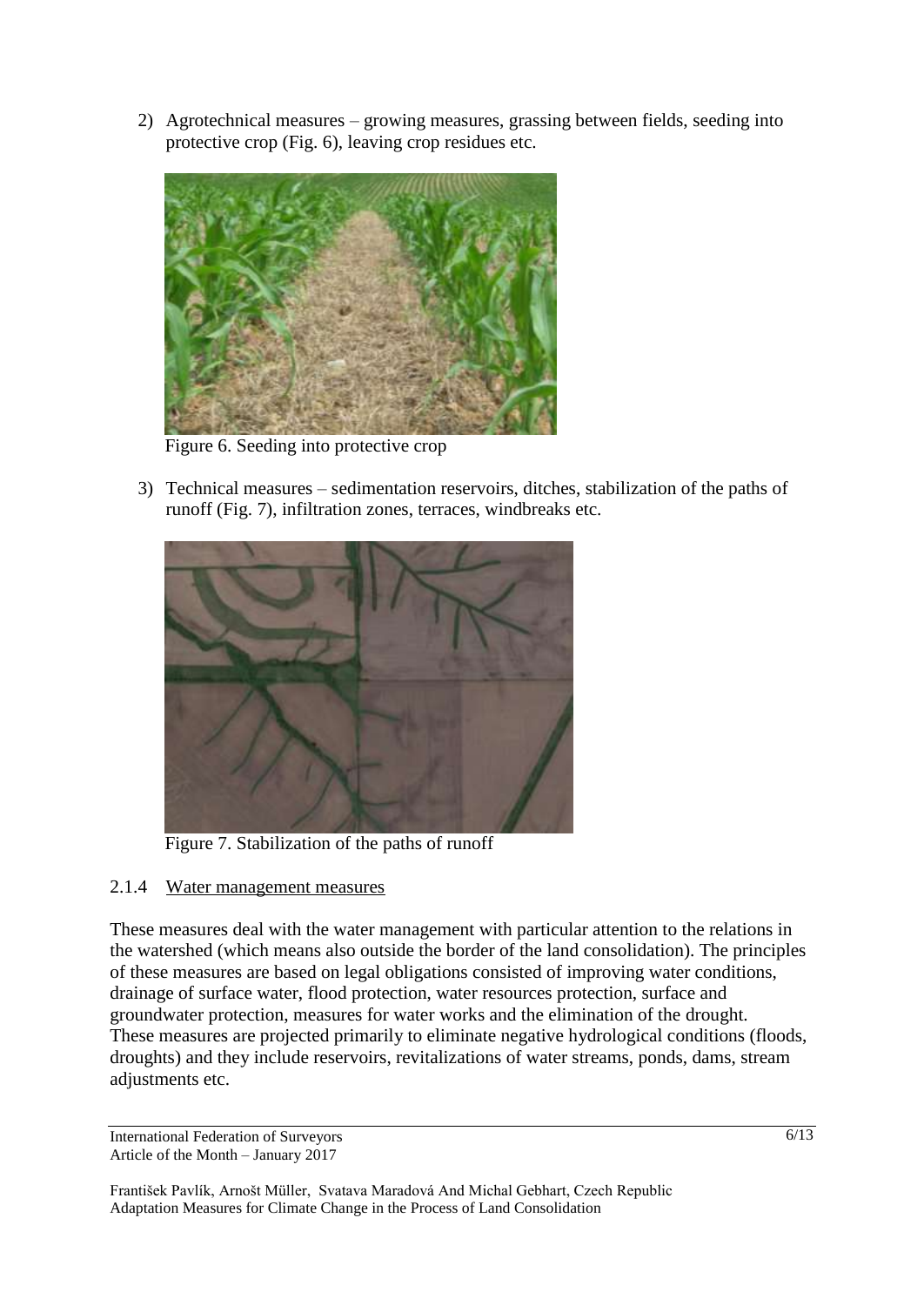2) Agrotechnical measures – growing measures, grassing between fields, seeding into protective crop (Fig. 6), leaving crop residues etc.



Figure 6. Seeding into protective crop

3) Technical measures – sedimentation reservoirs, ditches, stabilization of the paths of runoff (Fig. 7), infiltration zones, terraces, windbreaks etc.



Figure 7. Stabilization of the paths of runoff

## 2.1.4 Water management measures

These measures deal with the water management with particular attention to the relations in the watershed (which means also outside the border of the land consolidation). The principles of these measures are based on legal obligations consisted of improving water conditions, drainage of surface water, flood protection, water resources protection, surface and groundwater protection, measures for water works and the elimination of the drought. These measures are projected primarily to eliminate negative hydrological conditions (floods, droughts) and they include reservoirs, revitalizations of water streams, ponds, dams, stream adjustments etc.

International Federation of Surveyors Article of the Month – January 2017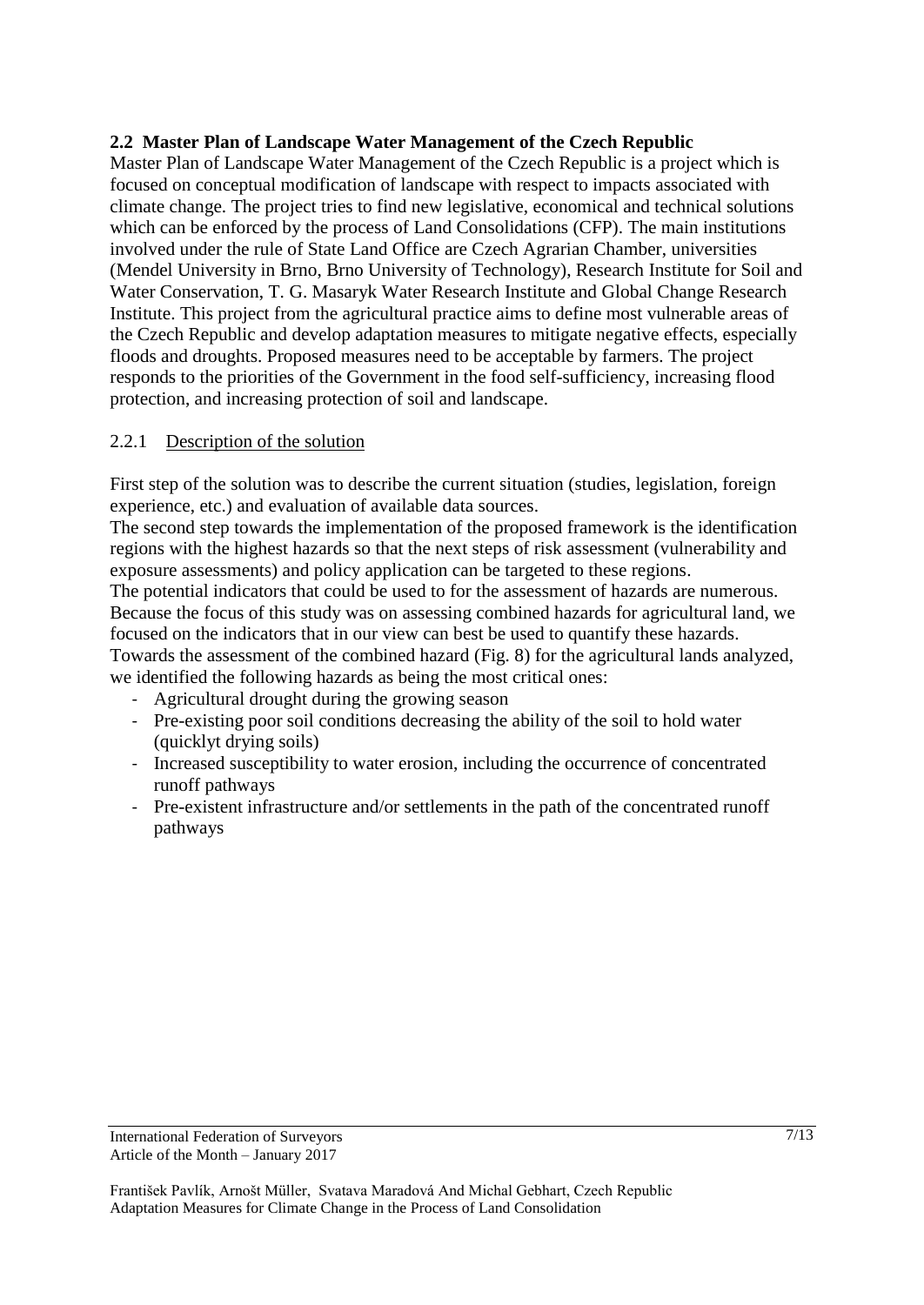## **2.2 Master Plan of Landscape Water Management of the Czech Republic**

Master Plan of Landscape Water Management of the Czech Republic is a project which is focused on conceptual modification of landscape with respect to impacts associated with climate change. The project tries to find new legislative, economical and technical solutions which can be enforced by the process of Land Consolidations (CFP). The main institutions involved under the rule of State Land Office are Czech Agrarian Chamber, universities (Mendel University in Brno, Brno University of Technology), Research Institute for Soil and Water Conservation, T. G. Masaryk Water Research Institute and Global Change Research Institute. This project from the agricultural practice aims to define most vulnerable areas of the Czech Republic and develop adaptation measures to mitigate negative effects, especially floods and droughts. Proposed measures need to be acceptable by farmers. The project responds to the priorities of the Government in the food self-sufficiency, increasing flood protection, and increasing protection of soil and landscape.

## 2.2.1 Description of the solution

First step of the solution was to describe the current situation (studies, legislation, foreign experience, etc.) and evaluation of available data sources.

The second step towards the implementation of the proposed framework is the identification regions with the highest hazards so that the next steps of risk assessment (vulnerability and exposure assessments) and policy application can be targeted to these regions.

The potential indicators that could be used to for the assessment of hazards are numerous. Because the focus of this study was on assessing combined hazards for agricultural land, we focused on the indicators that in our view can best be used to quantify these hazards. Towards the assessment of the combined hazard (Fig. 8) for the agricultural lands analyzed, we identified the following hazards as being the most critical ones:

- Agricultural drought during the growing season
- Pre-existing poor soil conditions decreasing the ability of the soil to hold water (quicklyt drying soils)
- Increased susceptibility to water erosion, including the occurrence of concentrated runoff pathways
- Pre-existent infrastructure and/or settlements in the path of the concentrated runoff pathways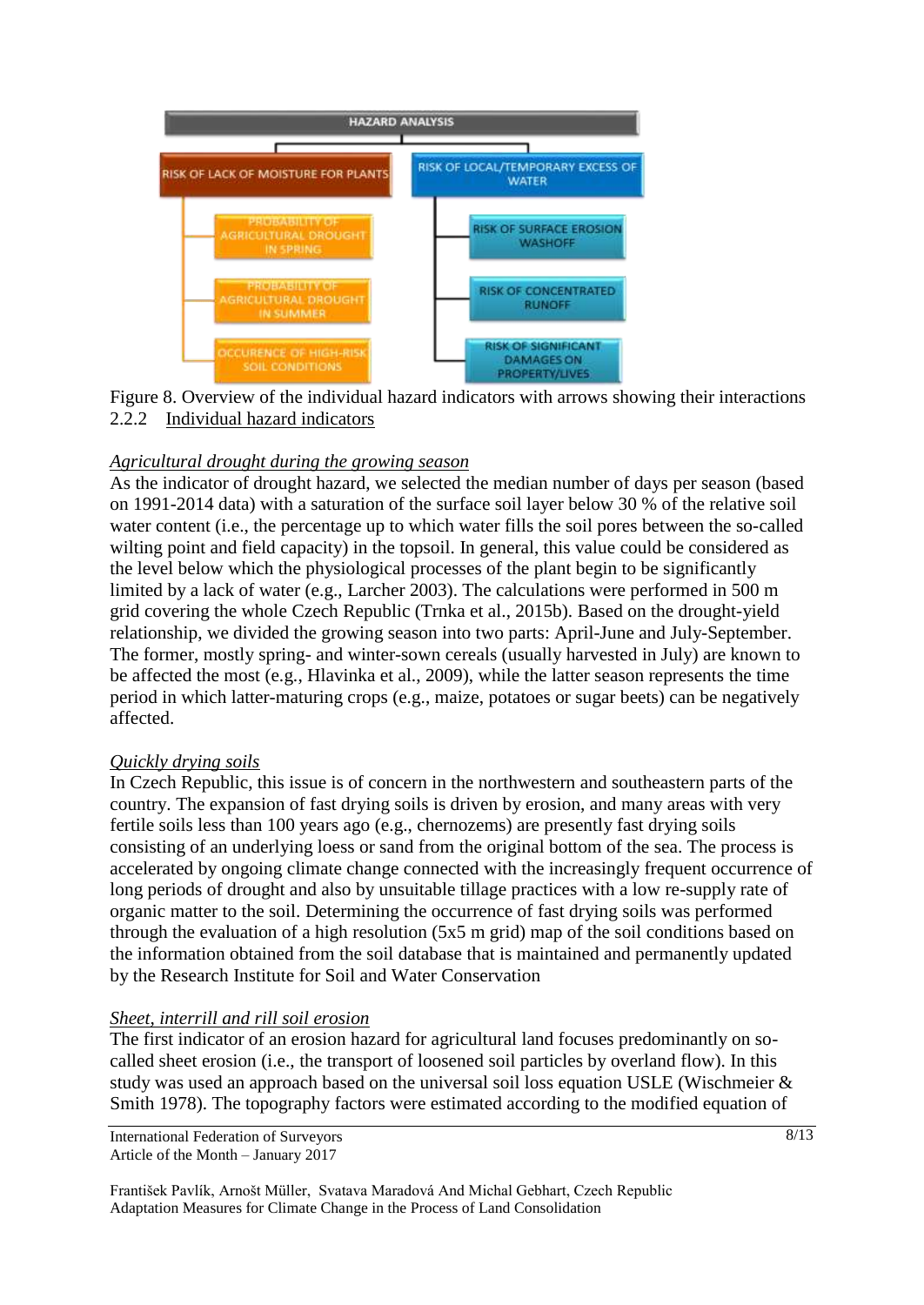

Figure 8. Overview of the individual hazard indicators with arrows showing their interactions 2.2.2 Individual hazard indicators

## *Agricultural drought during the growing season*

As the indicator of drought hazard, we selected the median number of days per season (based on 1991-2014 data) with a saturation of the surface soil layer below 30 % of the relative soil water content (i.e., the percentage up to which water fills the soil pores between the so-called wilting point and field capacity) in the topsoil. In general, this value could be considered as the level below which the physiological processes of the plant begin to be significantly limited by a lack of water (e.g., Larcher 2003). The calculations were performed in 500 m grid covering the whole Czech Republic (Trnka et al., 2015b). Based on the drought-yield relationship, we divided the growing season into two parts: April-June and July-September. The former, mostly spring- and winter-sown cereals (usually harvested in July) are known to be affected the most (e.g., Hlavinka et al., 2009), while the latter season represents the time period in which latter-maturing crops (e.g., maize, potatoes or sugar beets) can be negatively affected.

#### *Quickly drying soils*

In Czech Republic, this issue is of concern in the northwestern and southeastern parts of the country. The expansion of fast drying soils is driven by erosion, and many areas with very fertile soils less than 100 years ago (e.g., chernozems) are presently fast drying soils consisting of an underlying loess or sand from the original bottom of the sea. The process is accelerated by ongoing climate change connected with the increasingly frequent occurrence of long periods of drought and also by unsuitable tillage practices with a low re-supply rate of organic matter to the soil. Determining the occurrence of fast drying soils was performed through the evaluation of a high resolution (5x5 m grid) map of the soil conditions based on the information obtained from the soil database that is maintained and permanently updated by the Research Institute for Soil and Water Conservation

#### *Sheet, interrill and rill soil erosion*

The first indicator of an erosion hazard for agricultural land focuses predominantly on socalled sheet erosion (i.e., the transport of loosened soil particles by overland flow). In this study was used an approach based on the universal soil loss equation USLE (Wischmeier & Smith 1978). The topography factors were estimated according to the modified equation of

International Federation of Surveyors Article of the Month – January 2017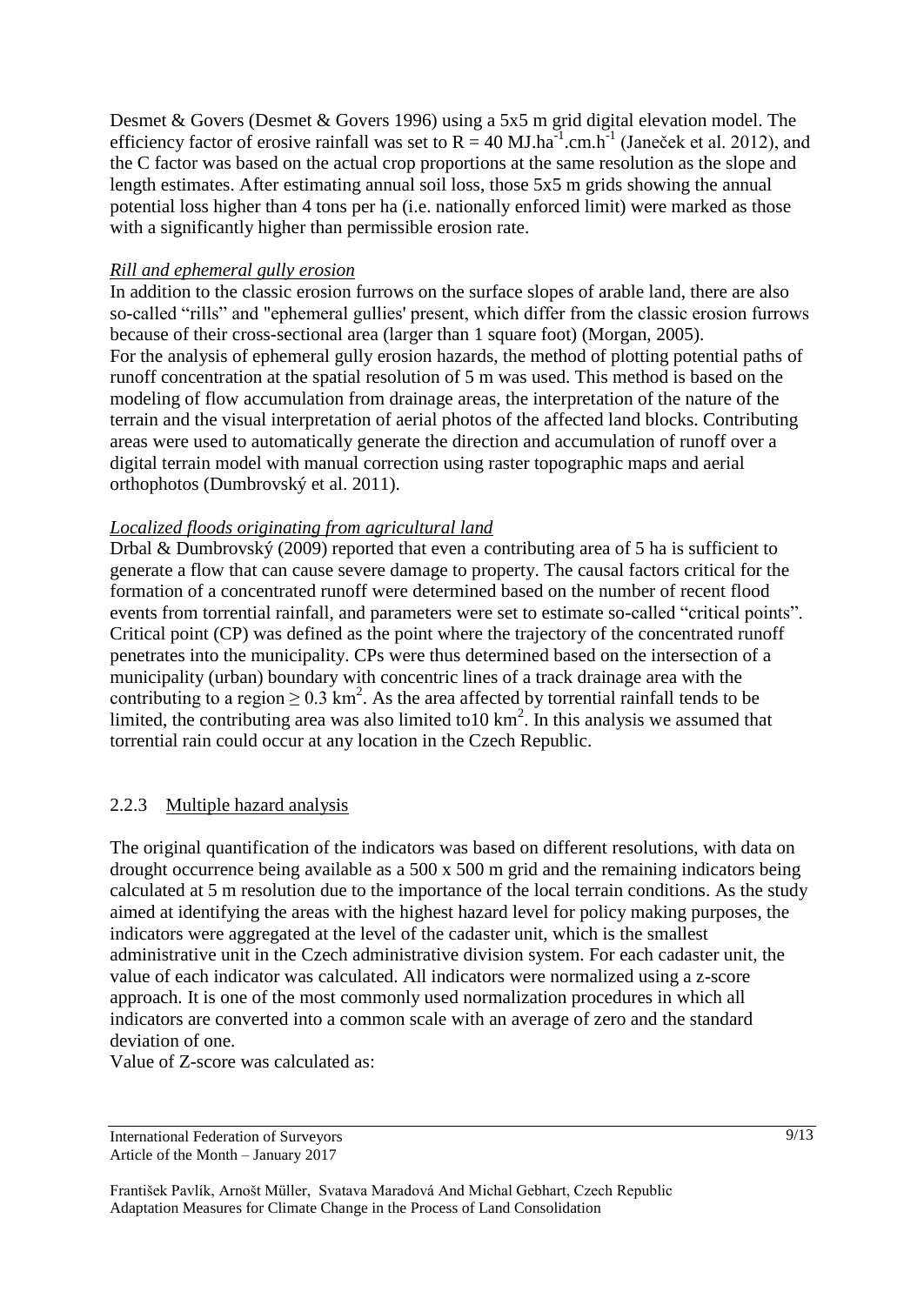Desmet & Govers (Desmet & Govers 1996) using a 5x5 m grid digital elevation model. The efficiency factor of erosive rainfall was set to  $R = 40$  MJ.ha<sup>-1</sup>.cm.h<sup>-1</sup> (Janeček et al. 2012), and the C factor was based on the actual crop proportions at the same resolution as the slope and length estimates. After estimating annual soil loss, those 5x5 m grids showing the annual potential loss higher than 4 tons per ha (i.e. nationally enforced limit) were marked as those with a significantly higher than permissible erosion rate.

#### *Rill and ephemeral gully erosion*

In addition to the classic erosion furrows on the surface slopes of arable land, there are also so-called "rills" and "ephemeral gullies' present, which differ from the classic erosion furrows because of their cross-sectional area (larger than 1 square foot) (Morgan, 2005). For the analysis of ephemeral gully erosion hazards, the method of plotting potential paths of runoff concentration at the spatial resolution of 5 m was used. This method is based on the modeling of flow accumulation from drainage areas, the interpretation of the nature of the terrain and the visual interpretation of aerial photos of the affected land blocks. Contributing areas were used to automatically generate the direction and accumulation of runoff over a digital terrain model with manual correction using raster topographic maps and aerial orthophotos (Dumbrovský et al. 2011).

#### *Localized floods originating from agricultural land*

Drbal & Dumbrovský (2009) reported that even a contributing area of 5 ha is sufficient to generate a flow that can cause severe damage to property. The causal factors critical for the formation of a concentrated runoff were determined based on the number of recent flood events from torrential rainfall, and parameters were set to estimate so-called "critical points". Critical point (CP) was defined as the point where the trajectory of the concentrated runoff penetrates into the municipality. CPs were thus determined based on the intersection of a municipality (urban) boundary with concentric lines of a track drainage area with the contributing to a region  $\geq 0.3$  km<sup>2</sup>. As the area affected by torrential rainfall tends to be limited, the contributing area was also limited to  $10 \text{ km}^2$ . In this analysis we assumed that torrential rain could occur at any location in the Czech Republic.

## 2.2.3 Multiple hazard analysis

The original quantification of the indicators was based on different resolutions, with data on drought occurrence being available as a 500 x 500 m grid and the remaining indicators being calculated at 5 m resolution due to the importance of the local terrain conditions. As the study aimed at identifying the areas with the highest hazard level for policy making purposes, the indicators were aggregated at the level of the cadaster unit, which is the smallest administrative unit in the Czech administrative division system. For each cadaster unit, the value of each indicator was calculated. All indicators were normalized using a z-score approach. It is one of the most commonly used normalization procedures in which all indicators are converted into a common scale with an average of zero and the standard deviation of one.

Value of Z-score was calculated as:

International Federation of Surveyors Article of the Month – January 2017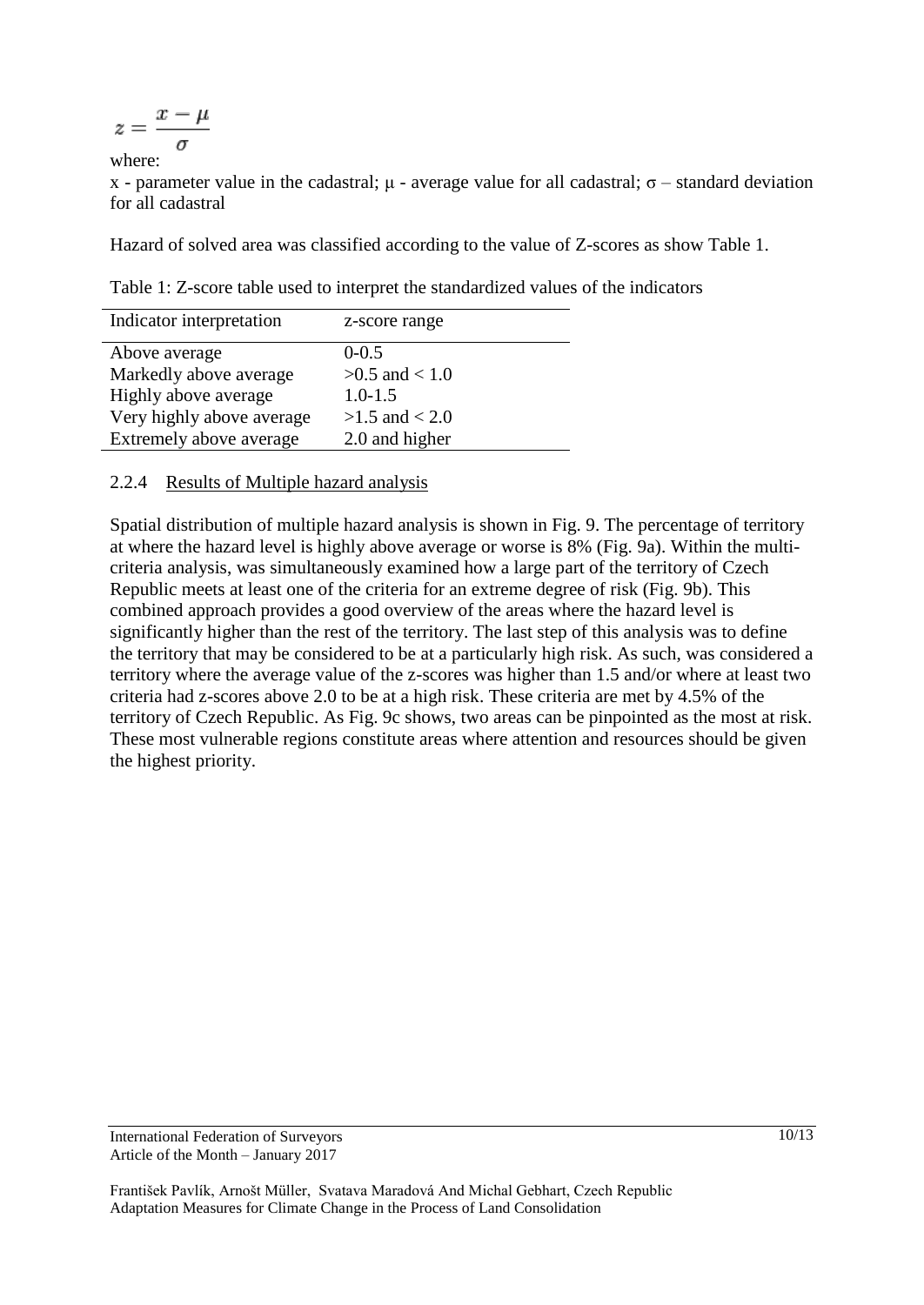$$
z = \frac{x - \mu}{\sigma}
$$
  
where:

x - parameter value in the cadastral;  $\mu$  - average value for all cadastral;  $\sigma$  – standard deviation for all cadastral

Hazard of solved area was classified according to the value of Z-scores as show Table 1.

Table 1: Z-score table used to interpret the standardized values of the indicators

| Indicator interpretation  | z-score range      |
|---------------------------|--------------------|
| Above average             | $0 - 0.5$          |
| Markedly above average    | $>0.5$ and $< 1.0$ |
| Highly above average      | $1.0 - 1.5$        |
| Very highly above average | $>1.5$ and $< 2.0$ |
| Extremely above average   | 2.0 and higher     |

2.2.4 Results of Multiple hazard analysis

Spatial distribution of multiple hazard analysis is shown in Fig. 9. The percentage of territory at where the hazard level is highly above average or worse is 8% (Fig. 9a). Within the multicriteria analysis, was simultaneously examined how a large part of the territory of Czech Republic meets at least one of the criteria for an extreme degree of risk (Fig. 9b). This combined approach provides a good overview of the areas where the hazard level is significantly higher than the rest of the territory. The last step of this analysis was to define the territory that may be considered to be at a particularly high risk. As such, was considered a territory where the average value of the z-scores was higher than 1.5 and/or where at least two criteria had z-scores above 2.0 to be at a high risk. These criteria are met by 4.5% of the territory of Czech Republic. As Fig. 9c shows, two areas can be pinpointed as the most at risk. These most vulnerable regions constitute areas where attention and resources should be given the highest priority.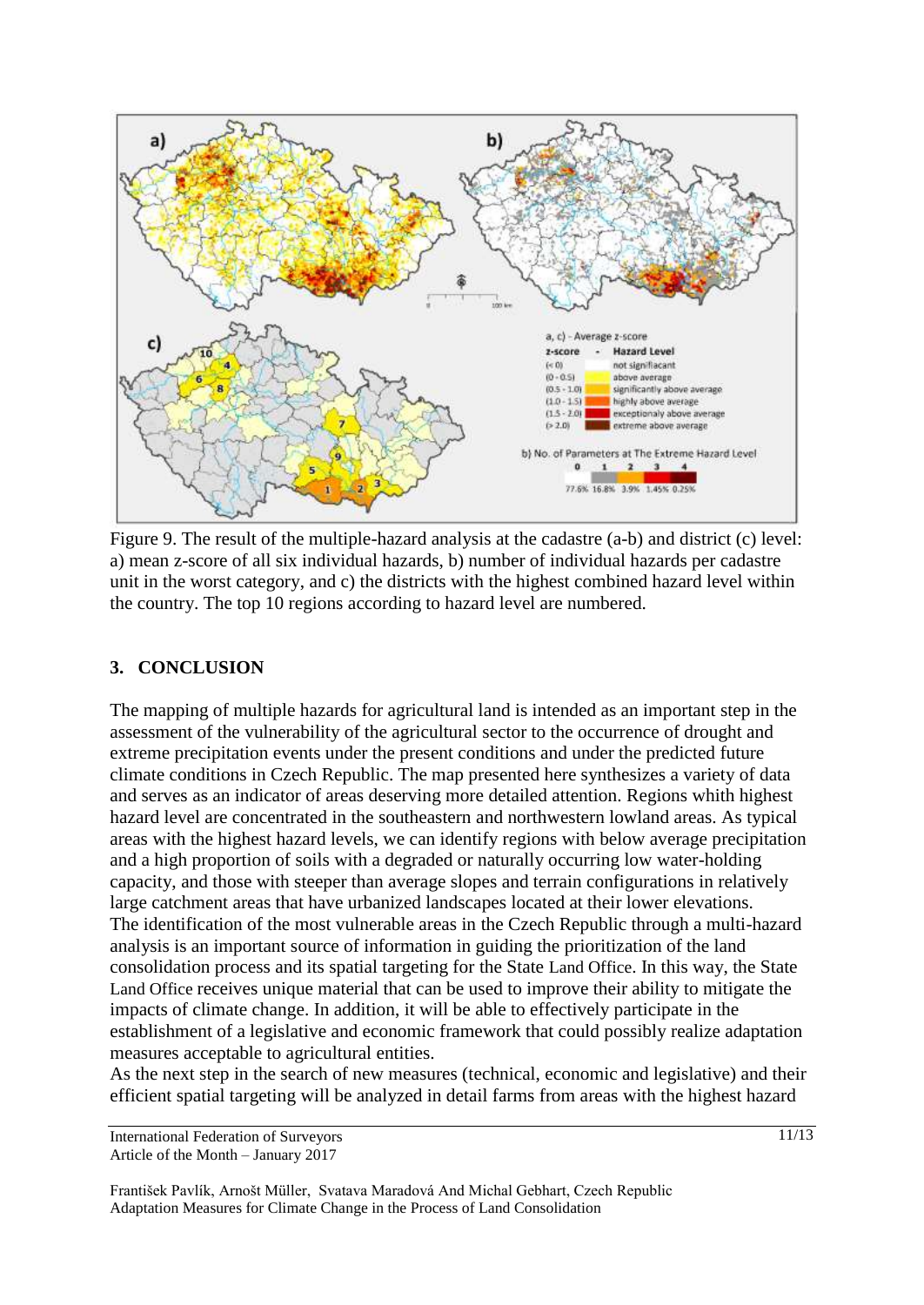

Figure 9. The result of the multiple-hazard analysis at the cadastre (a-b) and district (c) level: a) mean z-score of all six individual hazards, b) number of individual hazards per cadastre unit in the worst category, and c) the districts with the highest combined hazard level within the country. The top 10 regions according to hazard level are numbered.

## **3. CONCLUSION**

The mapping of multiple hazards for agricultural land is intended as an important step in the assessment of the vulnerability of the agricultural sector to the occurrence of drought and extreme precipitation events under the present conditions and under the predicted future climate conditions in Czech Republic. The map presented here synthesizes a variety of data and serves as an indicator of areas deserving more detailed attention. Regions whith highest hazard level are concentrated in the southeastern and northwestern lowland areas. As typical areas with the highest hazard levels, we can identify regions with below average precipitation and a high proportion of soils with a degraded or naturally occurring low water-holding capacity, and those with steeper than average slopes and terrain configurations in relatively large catchment areas that have urbanized landscapes located at their lower elevations. The identification of the most vulnerable areas in the Czech Republic through a multi-hazard analysis is an important source of information in guiding the prioritization of the land consolidation process and its spatial targeting for the State Land Office. In this way, the State Land Office receives unique material that can be used to improve their ability to mitigate the impacts of climate change. In addition, it will be able to effectively participate in the establishment of a legislative and economic framework that could possibly realize adaptation measures acceptable to agricultural entities.

As the next step in the search of new measures (technical, economic and legislative) and their efficient spatial targeting will be analyzed in detail farms from areas with the highest hazard

International Federation of Surveyors Article of the Month – January 2017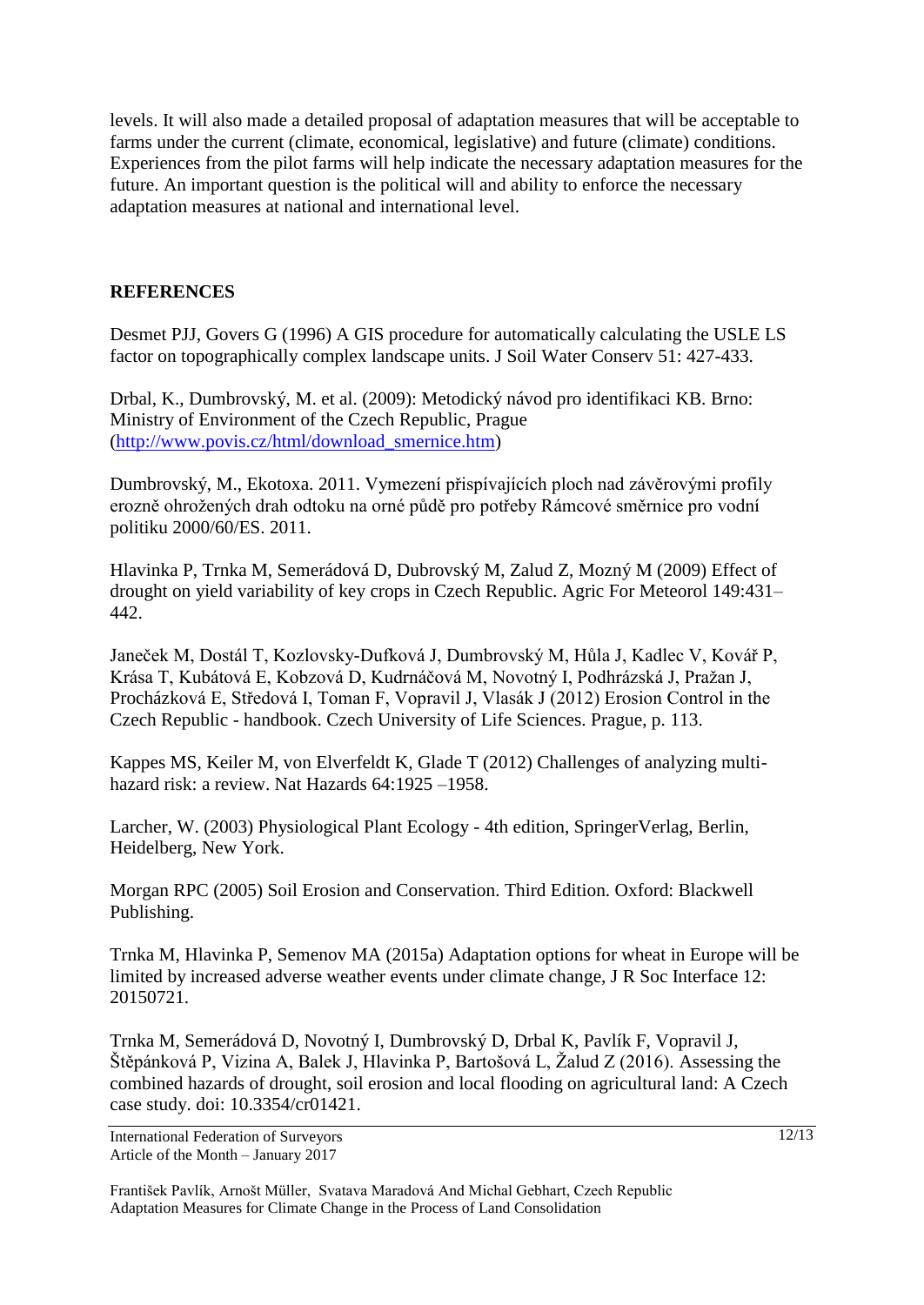levels. It will also made a detailed proposal of adaptation measures that will be acceptable to farms under the current (climate, economical, legislative) and future (climate) conditions. Experiences from the pilot farms will help indicate the necessary adaptation measures for the future. An important question is the political will and ability to enforce the necessary adaptation measures at national and international level.

## **REFERENCES**

Desmet PJJ, Govers G (1996) A GIS procedure for automatically calculating the USLE LS factor on topographically complex landscape units. J Soil Water Conserv 51: 427-433.

Drbal, K., Dumbrovský, M. et al. (2009): Metodický návod pro identifikaci KB. Brno: Ministry of Environment of the Czech Republic, Prague [\(http://www.povis.cz/html/download\\_smernice.htm\)](http://www.povis.cz/html/download_smernice.htm)

Dumbrovský, M., Ekotoxa. 2011. Vymezení přispívajících ploch nad závěrovými profily erozně ohrožených drah odtoku na orné půdě pro potřeby Rámcové směrnice pro vodní politiku 2000/60/ES. 2011.

Hlavinka P, Trnka M, Semerádová D, Dubrovský M, Zalud Z, Mozný M (2009) Effect of drought on yield variability of key crops in Czech Republic. Agric For Meteorol 149:431– 442.

Janeček M, Dostál T, Kozlovsky-Dufková J, Dumbrovský M, Hůla J, Kadlec V, Kovář P, Krása T, Kubátová E, Kobzová D, Kudrnáčová M, Novotný I, Podhrázská J, Pražan J, Procházková E, Středová I, Toman F, Vopravil J, Vlasák J (2012) Erosion Control in the Czech Republic - handbook. Czech University of Life Sciences. Prague, p. 113.

Kappes MS, Keiler M, von Elverfeldt K, Glade T (2012) Challenges of analyzing multihazard risk: a review. Nat Hazards 64:1925 –1958.

Larcher, W. (2003) Physiological Plant Ecology - 4th edition, SpringerVerlag, Berlin, Heidelberg, New York.

Morgan RPC (2005) Soil Erosion and Conservation. Third Edition. Oxford: Blackwell Publishing.

Trnka M, Hlavinka P, Semenov MA (2015a) Adaptation options for wheat in Europe will be limited by increased adverse weather events under climate change, J R Soc Interface 12: 20150721.

Trnka M, Semerádová D, Novotný I, Dumbrovský D, Drbal K, Pavlík F, Vopravil J, Štěpánková P, Vizina A, Balek J, Hlavinka P, Bartošová L, Žalud Z (2016). Assessing the combined hazards of drought, soil erosion and local flooding on agricultural land: A Czech case study. doi: 10.3354/cr01421.

International Federation of Surveyors Article of the Month – January 2017